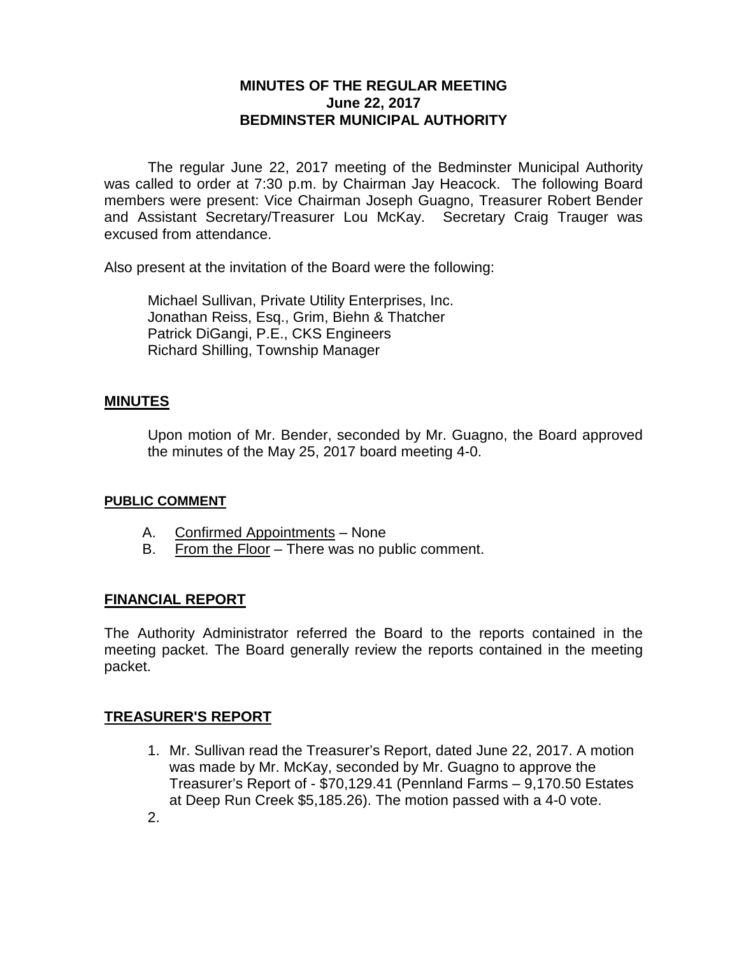## **MINUTES OF THE REGULAR MEETING June 22, 2017 BEDMINSTER MUNICIPAL AUTHORITY**

The regular June 22, 2017 meeting of the Bedminster Municipal Authority was called to order at 7:30 p.m. by Chairman Jay Heacock. The following Board members were present: Vice Chairman Joseph Guagno, Treasurer Robert Bender and Assistant Secretary/Treasurer Lou McKay. Secretary Craig Trauger was excused from attendance.

Also present at the invitation of the Board were the following:

Michael Sullivan, Private Utility Enterprises, Inc. Jonathan Reiss, Esq., Grim, Biehn & Thatcher Patrick DiGangi, P.E., CKS Engineers Richard Shilling, Township Manager

## **MINUTES**

Upon motion of Mr. Bender, seconded by Mr. Guagno, the Board approved the minutes of the May 25, 2017 board meeting 4-0.

#### **PUBLIC COMMENT**

- A. Confirmed Appointments None
- B. From the Floor There was no public comment.

## **FINANCIAL REPORT**

The Authority Administrator referred the Board to the reports contained in the meeting packet. The Board generally review the reports contained in the meeting packet.

## **TREASURER'S REPORT**

- 1. Mr. Sullivan read the Treasurer's Report, dated June 22, 2017. A motion was made by Mr. McKay, seconded by Mr. Guagno to approve the Treasurer's Report of - \$70,129.41 (Pennland Farms – 9,170.50 Estates at Deep Run Creek \$5,185.26). The motion passed with a 4-0 vote.
- 2.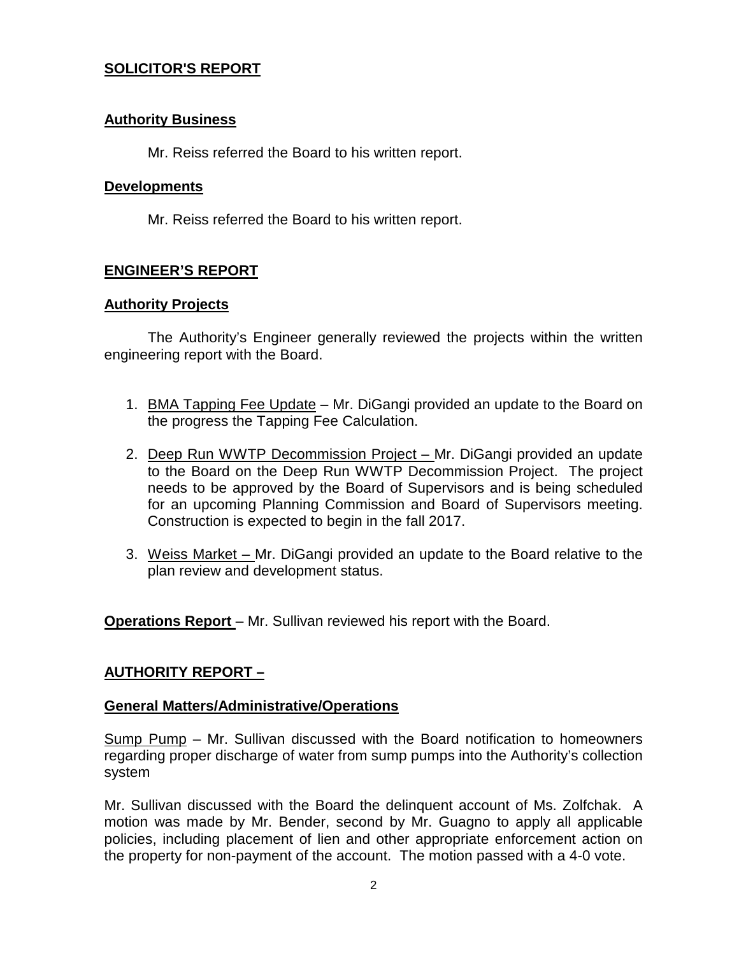## **SOLICITOR'S REPORT**

### **Authority Business**

Mr. Reiss referred the Board to his written report.

#### **Developments**

Mr. Reiss referred the Board to his written report.

## **ENGINEER'S REPORT**

### **Authority Projects**

The Authority's Engineer generally reviewed the projects within the written engineering report with the Board.

- 1. BMA Tapping Fee Update Mr. DiGangi provided an update to the Board on the progress the Tapping Fee Calculation.
- 2. Deep Run WWTP Decommission Project Mr. DiGangi provided an update to the Board on the Deep Run WWTP Decommission Project. The project needs to be approved by the Board of Supervisors and is being scheduled for an upcoming Planning Commission and Board of Supervisors meeting. Construction is expected to begin in the fall 2017.
- 3. Weiss Market Mr. DiGangi provided an update to the Board relative to the plan review and development status.

**Operations Report** – Mr. Sullivan reviewed his report with the Board.

## **AUTHORITY REPORT –**

## **General Matters/Administrative/Operations**

Sump Pump – Mr. Sullivan discussed with the Board notification to homeowners regarding proper discharge of water from sump pumps into the Authority's collection system

Mr. Sullivan discussed with the Board the delinquent account of Ms. Zolfchak. A motion was made by Mr. Bender, second by Mr. Guagno to apply all applicable policies, including placement of lien and other appropriate enforcement action on the property for non-payment of the account. The motion passed with a 4-0 vote.